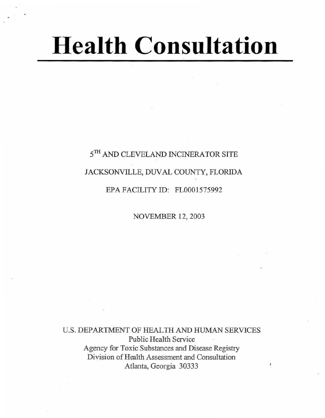# **Health Consultation**

## $5^{\mathrm{TH}}$  AND CLEVELAND INCINERATOR SITE JACKSONVILLE, DUVAL COUNTY, FLORIDA EPA FACILITY ID: FL0001575992

NOVEMBER 12, 2003

U.S. DEPARTMENT OF HEALTH AND HUMAN SERVICES Public Health Service Agency for Toxic Substances and Disease Registry Division of Health Assessment and Consultation Atlanta, Georgia 30333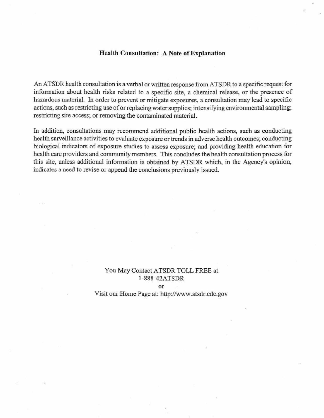#### Health Consultation: A Note of Explanation

An ATSDR health consultation is a verbal or written response from ATSDR to a specific request for information about health risks related to a specific site, a chemical release, or the presence of hazardous material. In order to prevent or mitigate exposures, a consultation may lead to specific actions, such as restricting use of or replacing water supplies; intensifying environmental sampling; restricting site access; or removing the contaminated material.

In addition, consultations may recommend additional public health actions, such as conducting health surveillance activities to evaluate exposure or trends in adverse health outcomes; conducting biological indicators of exposure studies to assess exposure; and providing health education for health care providers and community members. This concludes the health consultation process for this site, unless additional information is obtained by ATSDR which, in the Agency's opinion, indicates a need to revise or append the conclusions previously issued.

#### You May Contact ATSDR TOLL FREE at J-888-42ATSDR

or

Visit our Home Page at: http://www.atsdr.cdc.gov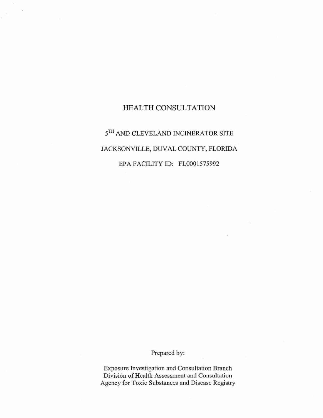#### HEALTH CONSULTATION

### $5^{\mathrm{TH}}$  AND CLEVELAND INCINERATOR SITE JACKSONVILLE, DUVAL COUNTY, FLORIDA EPA FACILITY ID: FLOOOI575992

Prepared by:

**Exposure Investigation and Consultation Branch Division** of Health **Assessment and Consultation Agency for Toxic Substances and Disease Registry**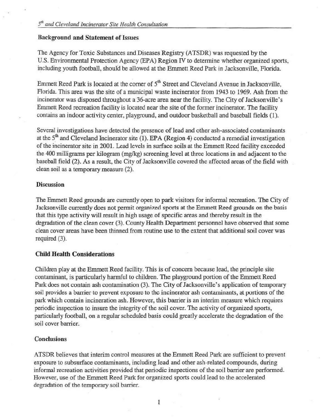#### Background and Statement of Issues

The Agency for Toxic Substances and Diseases Registry (ATSDR) was requested by the U.S. Environmental Protection Agency (EPA) Region IV to determine whether organized sports, including youth football, should be allowed at the Emmett Reed Park in Jacksonville, Florida.

Emmett Reed Park is located at the corner of  $5<sup>th</sup>$  Street and Cleveland Avenue in Jacksonville, Florida. This area was the site of a municipa1 waste incinerator from 1943 to 1969. Ash from the incinerator was disposed throughout a 36-acre area near the facility. The City of Jacksonville's Emmett Reed recreation facility is located near the site of the former incinerator. The facility contains an indoor activity center, playground, and outdoor basketball and baseball fields (I).

Several investigations have detected the presence of lead and other ash-associated contaminants at the  $5<sup>th</sup>$  and Cleveland Incinerator site (1). EPA (Region 4) conducted a remedial investigation of the incinerator site in 2001. Lead levels in surface soils at the Emmett Reed facility exceeded the 400 milligrams per kilogram (mg/kg) screening level at three locations in and adjacent to the baseball field (2). As a result, the City of Jacksonville covered the affected areas of the field with clean soil as a temporary measure (2).

#### **Discussion**

The Emmett Reed grounds are currently open to park visitors for infonna1 recreation. The City of Jacksonville currently does not permit organized sports at the Emmett Reed grounds on the basis that this type activity will result in high usage of specific areas and thereby result in the degradation of the clean cover (3). County Health Department personnel have observed that some clean cover areas have been thinned from routine use to the extent that additional soil cover was required (3).

#### Child Health Considerations

Children play at the Emmett Reed facility. This is of concern because lead, the principle site contaminant, is particularly harmful to children. The playground portion of the Emmett Reed Park does not contain ash contamination (3). The City of Jacksonville's application of temporary soil provides a barrier to prevent exposure to thc incinerator ash contaminants, at portions of the park which contain incineration ash. However, this barrier is an interim measure which requires periodic inspection to insure the integrity of the soil cover. The activity of organized sports, particularly football, on a regular scheduled basis could greatly accelerate the degradation of the soil cover barrier.

#### **Conclusions**

ATSDR believes that interim control measures at the Emmett Reed Park are sufficient to prevent exposure to subsurface contaminants, including lead and other ash-related compounds, during informal recreation activities provided that periodic inspections of the soil barrier are performed. However, use of the Emmett Reed Park for organized sports could lead to the accelerated degradation of the temporary soil barrier.

1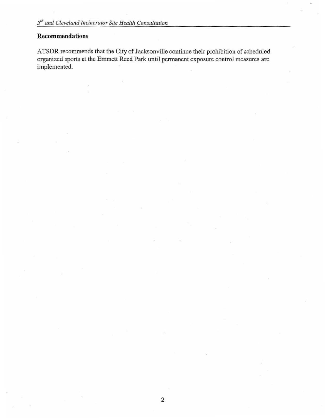#### Recommendations

ATSDR recommends that the City of Jacksonville continue their prohibition of scheduled organized sports at the Emmett Reed Park until permanent exposure control measures are implemented.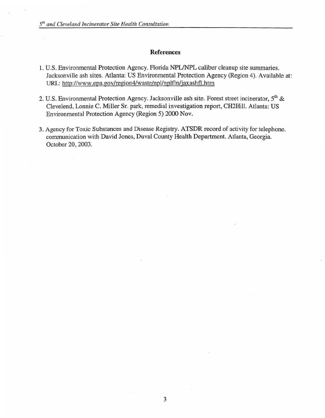#### References

- 1. U.S. Environmental Protection Agency. Florida NPL/NPL caliber cleanup site summaries. Jacksonville ash sites. Atlanta: US Environmental Protection Agency (Region 4). Available at: URL: http://www.epa.gov/region4/waste/npl/nplfln/jaxashfl.htm
- 2. U.S. Environmental Protection Agency. Jacksonville ash site. Forest street incinerator,  $5<sup>th</sup>$  & Clevelend, Lonnie C. Miller Sr. park, remedial investigation report, CH2Hill. Atlanta: US Environmental Protection Agency (Region 5) 2000 Nov.
- 3. Agency for Toxic Substances and Disease Registry. ATSDR record of activity for telephone. communication with David Jones, Duval County Health Department. Atlanta, Georgia. October 20, 2003.